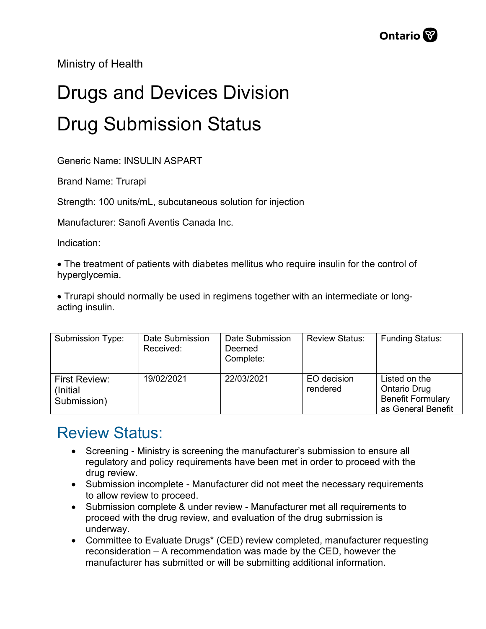Ministry of Health

## Drugs and Devices Division Drug Submission Status

Generic Name: INSULIN ASPART

Brand Name: Trurapi

Strength: 100 units/mL, subcutaneous solution for injection

Manufacturer: Sanofi Aventis Canada Inc.

Indication:

• The treatment of patients with diabetes mellitus who require insulin for the control of hyperglycemia.

• Trurapi should normally be used in regimens together with an intermediate or longacting insulin.

| Submission Type:                                 | Date Submission<br>Received: | Date Submission<br>Deemed<br>Complete: | <b>Review Status:</b>   | <b>Funding Status:</b>                                                                 |
|--------------------------------------------------|------------------------------|----------------------------------------|-------------------------|----------------------------------------------------------------------------------------|
| <b>First Review:</b><br>(Initial)<br>Submission) | 19/02/2021                   | 22/03/2021                             | EO decision<br>rendered | Listed on the<br><b>Ontario Drug</b><br><b>Benefit Formulary</b><br>as General Benefit |

## Review Status:

- Screening Ministry is screening the manufacturer's submission to ensure all regulatory and policy requirements have been met in order to proceed with the drug review.
- Submission incomplete Manufacturer did not meet the necessary requirements to allow review to proceed.
- Submission complete & under review Manufacturer met all requirements to proceed with the drug review, and evaluation of the drug submission is underway.
- Committee to Evaluate Drugs\* (CED) review completed, manufacturer requesting reconsideration – A recommendation was made by the CED, however the manufacturer has submitted or will be submitting additional information.